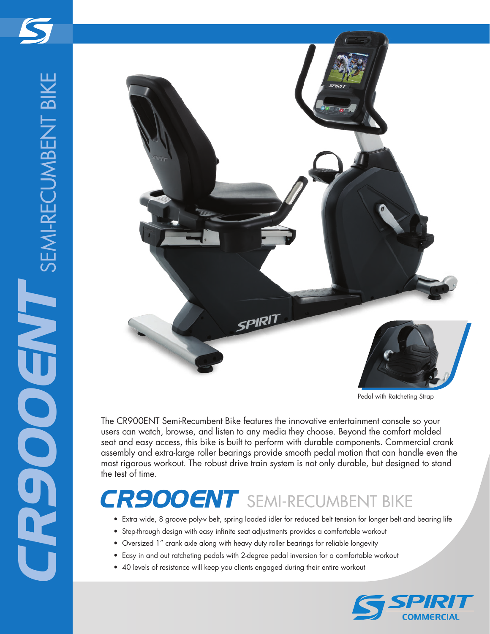

Pedal with Ratcheting Strap

The CR900ENT Semi-Recumbent Bike features the innovative entertainment console so your users can watch, browse, and listen to any media they choose. Beyond the comfort molded seat and easy access, this bike is built to perform with durable components. Commercial crank assembly and extra-large roller bearings provide smooth pedal motion that can handle even the most rigorous workout. The robust drive train system is not only durable, but designed to stand the test of time.

## *CR900ENT* SEMI-RECUMBENT BIKE

- Extra wide, 8 groove poly-v belt, spring loaded idler for reduced belt tension for longer belt and bearing life
- Step-through design with easy infinite seat adjustments provides a comfortable workout
- Oversized 1" crank axle along with heavy duty roller bearings for reliable longevity
- Easy in and out ratcheting pedals with 2-degree pedal inversion for a comfortable workout
- 40 levels of resistance will keep you clients engaged during their entire workout